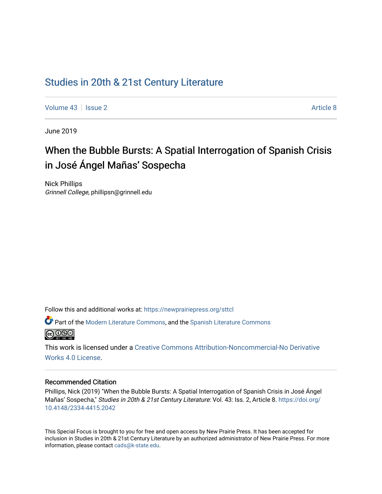# [Studies in 20th & 21st Century Literature](https://newprairiepress.org/sttcl)

[Volume 43](https://newprairiepress.org/sttcl/vol43) | [Issue 2](https://newprairiepress.org/sttcl/vol43/iss2) Article 8

June 2019

# When the Bubble Bursts: A Spatial Interrogation of Spanish Crisis in José Ángel Mañas' Sospecha

Nick Phillips Grinnell College, phillipsn@grinnell.edu

Follow this and additional works at: [https://newprairiepress.org/sttcl](https://newprairiepress.org/sttcl?utm_source=newprairiepress.org%2Fsttcl%2Fvol43%2Fiss2%2F8&utm_medium=PDF&utm_campaign=PDFCoverPages) 

Part of the [Modern Literature Commons,](http://network.bepress.com/hgg/discipline/1050?utm_source=newprairiepress.org%2Fsttcl%2Fvol43%2Fiss2%2F8&utm_medium=PDF&utm_campaign=PDFCoverPages) and the [Spanish Literature Commons](http://network.bepress.com/hgg/discipline/550?utm_source=newprairiepress.org%2Fsttcl%2Fvol43%2Fiss2%2F8&utm_medium=PDF&utm_campaign=PDFCoverPages)  <u>@ 000</u>

This work is licensed under a [Creative Commons Attribution-Noncommercial-No Derivative](https://creativecommons.org/licenses/by-nc-nd/4.0/)  [Works 4.0 License](https://creativecommons.org/licenses/by-nc-nd/4.0/).

#### Recommended Citation

Phillips, Nick (2019) "When the Bubble Bursts: A Spatial Interrogation of Spanish Crisis in José Ángel Mañas' Sospecha," Studies in 20th & 21st Century Literature: Vol. 43: Iss. 2, Article 8. [https://doi.org/](https://doi.org/10.4148/2334-4415.2042) [10.4148/2334-4415.2042](https://doi.org/10.4148/2334-4415.2042)

This Special Focus is brought to you for free and open access by New Prairie Press. It has been accepted for inclusion in Studies in 20th & 21st Century Literature by an authorized administrator of New Prairie Press. For more information, please contact [cads@k-state.edu](mailto:cads@k-state.edu).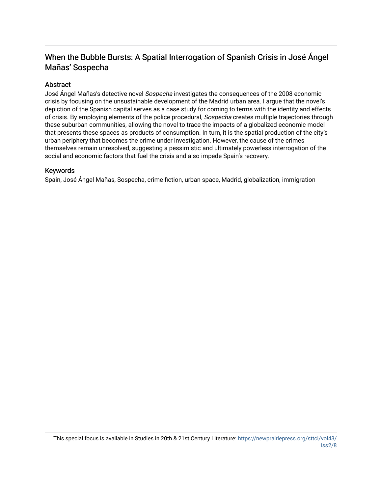# When the Bubble Bursts: A Spatial Interrogation of Spanish Crisis in José Ángel Mañas' Sospecha

## Abstract

José Ángel Mañas's detective novel Sospecha investigates the consequences of the 2008 economic crisis by focusing on the unsustainable development of the Madrid urban area. I argue that the novel's depiction of the Spanish capital serves as a case study for coming to terms with the identity and effects of crisis. By employing elements of the police procedural, Sospecha creates multiple trajectories through these suburban communities, allowing the novel to trace the impacts of a globalized economic model that presents these spaces as products of consumption. In turn, it is the spatial production of the city's urban periphery that becomes the crime under investigation. However, the cause of the crimes themselves remain unresolved, suggesting a pessimistic and ultimately powerless interrogation of the social and economic factors that fuel the crisis and also impede Spain's recovery.

#### Keywords

Spain, José Ángel Mañas, Sospecha, crime fiction, urban space, Madrid, globalization, immigration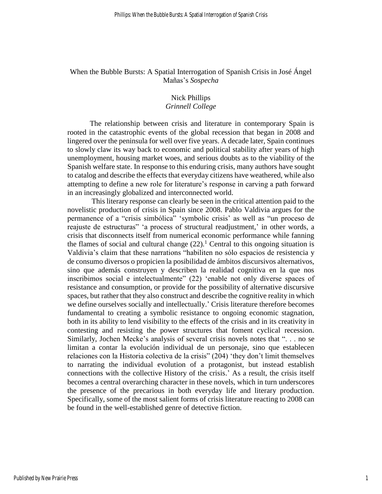### When the Bubble Bursts: A Spatial Interrogation of Spanish Crisis in José Ángel Mañas's *Sospecha*

## Nick Phillips

## *Grinnell College*

The relationship between crisis and literature in contemporary Spain is rooted in the catastrophic events of the global recession that began in 2008 and lingered over the peninsula for well over five years. A decade later, Spain continues to slowly claw its way back to economic and political stability after years of high unemployment, housing market woes, and serious doubts as to the viability of the Spanish welfare state. In response to this enduring crisis, many authors have sought to catalog and describe the effects that everyday citizens have weathered, while also attempting to define a new role for literature's response in carving a path forward in an increasingly globalized and interconnected world.

This literary response can clearly be seen in the critical attention paid to the novelistic production of crisis in Spain since 2008. Pablo Valdivia argues for the permanence of a "crisis simbólica" 'symbolic crisis' as well as "un proceso de reajuste de estructuras" 'a process of structural readjustment,' in other words, a crisis that disconnects itself from numerical economic performance while fanning the flames of social and cultural change  $(22)$ .<sup>1</sup> Central to this ongoing situation is Valdivia's claim that these narrations "habiliten no sólo espacios de resistencia y de consumo diversos o propicien la posibilidad de ámbitos discursivos alternativos, sino que además construyen y describen la realidad cognitiva en la que nos inscribimos social e intelectualmente" (22) 'enable not only diverse spaces of resistance and consumption, or provide for the possibility of alternative discursive spaces, but rather that they also construct and describe the cognitive reality in which we define ourselves socially and intellectually.' Crisis literature therefore becomes fundamental to creating a symbolic resistance to ongoing economic stagnation, both in its ability to lend visibility to the effects of the crisis and in its creativity in contesting and resisting the power structures that foment cyclical recession. Similarly, Jochen Mecke's analysis of several crisis novels notes that ". . . no se limitan a contar la evolución individual de un personaje, sino que establecen relaciones con la Historia colectiva de la crisis" (204) 'they don't limit themselves to narrating the individual evolution of a protagonist, but instead establish connections with the collective History of the crisis.' As a result, the crisis itself becomes a central overarching character in these novels, which in turn underscores the presence of the precarious in both everyday life and literary production. Specifically, some of the most salient forms of crisis literature reacting to 2008 can be found in the well-established genre of detective fiction.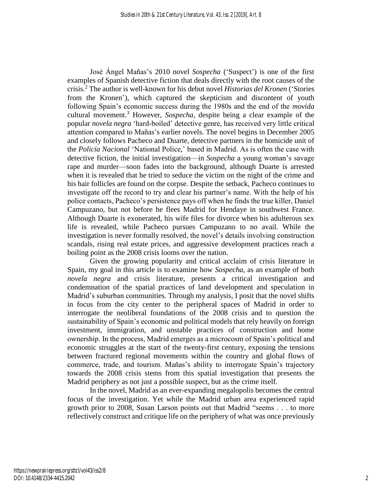José Ángel Mañas's 2010 novel *Sospecha* ('Suspect') is one of the first examples of Spanish detective fiction that deals directly with the root causes of the crisis.<sup>2</sup> The author is well-known for his debut novel *Historias del Kronen* ('Stories from the Kronen'), which captured the skepticism and discontent of youth following Spain's economic success during the 1980s and the end of the *movida* cultural movement.<sup>3</sup> However, *Sospecha*, despite being a clear example of the popular *novela negra* 'hard-boiled' detective genre, has received very little critical attention compared to Mañas's earlier novels. The novel begins in December 2005 and closely follows Pacheco and Duarte, detective partners in the homicide unit of the *Policía Nacional* 'National Police,' based in Madrid. As is often the case with detective fiction, the initial investigation—in *Sospecha* a young woman's savage rape and murder—soon fades into the background, although Duarte is arrested when it is revealed that he tried to seduce the victim on the night of the crime and his hair follicles are found on the corpse. Despite the setback, Pacheco continues to investigate off the record to try and clear his partner's name. With the help of his police contacts, Pacheco's persistence pays off when he finds the true killer, Daniel Campuzano, but not before he flees Madrid for Hendaye in southwest France. Although Duarte is exonerated, his wife files for divorce when his adulterous sex life is revealed, while Pacheco pursues Campuzano to no avail. While the investigation is never formally resolved, the novel's details involving construction scandals, rising real estate prices, and aggressive development practices reach a boiling point as the 2008 crisis looms over the nation.

Given the growing popularity and critical acclaim of crisis literature in Spain, my goal in this article is to examine how *Sospecha*, as an example of both *novela negra* and crisis literature, presents a critical investigation and condemnation of the spatial practices of land development and speculation in Madrid's suburban communities. Through my analysis, I posit that the novel shifts in focus from the city center to the peripheral spaces of Madrid in order to interrogate the neoliberal foundations of the 2008 crisis and to question the sustainability of Spain's economic and political models that rely heavily on foreign investment, immigration, and unstable practices of construction and home ownership. In the process, Madrid emerges as a microcosm of Spain's political and economic struggles at the start of the twenty-first century, exposing the tensions between fractured regional movements within the country and global flows of commerce, trade, and tourism. Mañas's ability to interrogate Spain's trajectory towards the 2008 crisis stems from this spatial investigation that presents the Madrid periphery as not just a possible suspect, but as the crime itself.

In the novel, Madrid as an ever-expanding megalopolis becomes the central focus of the investigation. Yet while the Madrid urban area experienced rapid growth prior to 2008, Susan Larson points out that Madrid "seems . . . to more reflectively construct and critique life on the periphery of what was once previously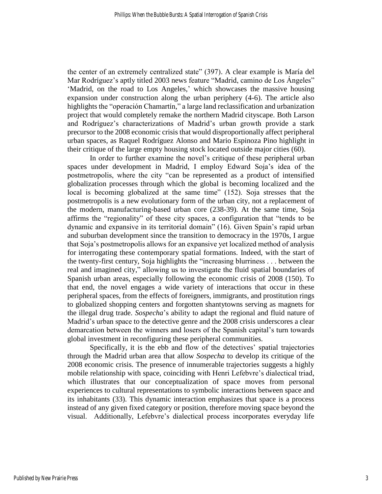the center of an extremely centralized state" (397). A clear example is María del Mar Rodríguez's aptly titled 2003 news feature "Madrid, camino de Los Ángeles" 'Madrid, on the road to Los Angeles,' which showcases the massive housing expansion under construction along the urban periphery (4-6). The article also highlights the "operación Chamartín," a large land reclassification and urbanization project that would completely remake the northern Madrid cityscape. Both Larson and Rodríguez's characterizations of Madrid's urban growth provide a stark precursor to the 2008 economic crisis that would disproportionally affect peripheral urban spaces, as Raquel Rodríguez Alonso and Mario Espinoza Pino highlight in their critique of the large empty housing stock located outside major cities (60).

In order to further examine the novel's critique of these peripheral urban spaces under development in Madrid, I employ Edward Soja's idea of the postmetropolis, where the city "can be represented as a product of intensified globalization processes through which the global is becoming localized and the local is becoming globalized at the same time" (152). Soja stresses that the postmetropolis is a new evolutionary form of the urban city, not a replacement of the modern, manufacturing-based urban core (238-39). At the same time, Soja affirms the "regionality" of these city spaces, a configuration that "tends to be dynamic and expansive in its territorial domain" (16). Given Spain's rapid urban and suburban development since the transition to democracy in the 1970s, I argue that Soja's postmetropolis allows for an expansive yet localized method of analysis for interrogating these contemporary spatial formations. Indeed, with the start of the twenty-first century, Soja highlights the "increasing blurriness . . . between the real and imagined city," allowing us to investigate the fluid spatial boundaries of Spanish urban areas, especially following the economic crisis of 2008 (150). To that end, the novel engages a wide variety of interactions that occur in these peripheral spaces, from the effects of foreigners, immigrants, and prostitution rings to globalized shopping centers and forgotten shantytowns serving as magnets for the illegal drug trade. *Sospecha*'s ability to adapt the regional and fluid nature of Madrid's urban space to the detective genre and the 2008 crisis underscores a clear demarcation between the winners and losers of the Spanish capital's turn towards global investment in reconfiguring these peripheral communities.

Specifically, it is the ebb and flow of the detectives' spatial trajectories through the Madrid urban area that allow *Sospecha* to develop its critique of the 2008 economic crisis. The presence of innumerable trajectories suggests a highly mobile relationship with space, coinciding with Henri Lefebvre's dialectical triad, which illustrates that our conceptualization of space moves from personal experiences to cultural representations to symbolic interactions between space and its inhabitants (33). This dynamic interaction emphasizes that space is a process instead of any given fixed category or position, therefore moving space beyond the visual. Additionally, Lefebvre's dialectical process incorporates everyday life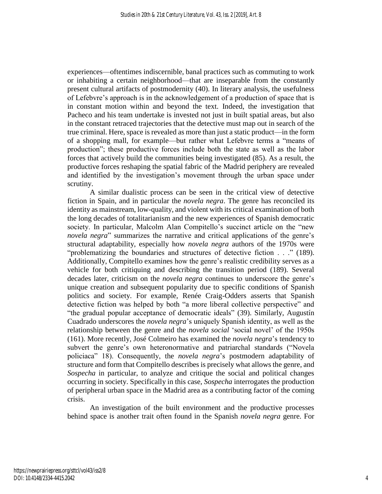experiences—oftentimes indiscernible, banal practices such as commuting to work or inhabiting a certain neighborhood—that are inseparable from the constantly present cultural artifacts of postmodernity (40). In literary analysis, the usefulness of Lefebvre's approach is in the acknowledgement of a production of space that is in constant motion within and beyond the text. Indeed, the investigation that Pacheco and his team undertake is invested not just in built spatial areas, but also in the constant retraced trajectories that the detective must map out in search of the true criminal. Here, space is revealed as more than just a static product—in the form of a shopping mall, for example—but rather what Lefebvre terms a "means of production"; these productive forces include both the state as well as the labor forces that actively build the communities being investigated (85). As a result, the productive forces reshaping the spatial fabric of the Madrid periphery are revealed and identified by the investigation's movement through the urban space under scrutiny.

A similar dualistic process can be seen in the critical view of detective fiction in Spain, and in particular the *novela negra*. The genre has reconciled its identity as mainstream, low-quality, and violent with its critical examination of both the long decades of totalitarianism and the new experiences of Spanish democratic society. In particular, Malcolm Alan Compitello's succinct article on the "new *novela negra*" summarizes the narrative and critical applications of the genre's structural adaptability, especially how *novela negra* authors of the 1970s were "problematizing the boundaries and structures of detective fiction . . ." (189). Additionally, Compitello examines how the genre's realistic credibility serves as a vehicle for both critiquing and describing the transition period (189). Several decades later, criticism on the *novela negra* continues to underscore the genre's unique creation and subsequent popularity due to specific conditions of Spanish politics and society. For example, Renée Craig-Odders asserts that Spanish detective fiction was helped by both "a more liberal collective perspective" and "the gradual popular acceptance of democratic ideals" (39). Similarly, Augustín Cuadrado underscores the *novela negra*'s uniquely Spanish identity, as well as the relationship between the genre and the *novela social* 'social novel' of the 1950s (161). More recently, José Colmeiro has examined the *novela negra*'s tendency to subvert the genre's own heteronormative and patriarchal standards ("Novela policiaca" 18). Consequently, the *novela negra*'s postmodern adaptability of structure and form that Compitello describes is precisely what allows the genre, and *Sospecha* in particular, to analyze and critique the social and political changes occurring in society. Specifically in this case, *Sospecha* interrogates the production of peripheral urban space in the Madrid area as a contributing factor of the coming crisis.

An investigation of the built environment and the productive processes behind space is another trait often found in the Spanish *novela negra* genre. For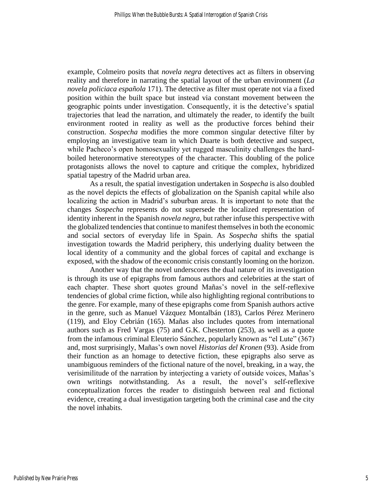example, Colmeiro posits that *novela negra* detectives act as filters in observing reality and therefore in narrating the spatial layout of the urban environment (*La novela policiaca española* 171). The detective as filter must operate not via a fixed position within the built space but instead via constant movement between the geographic points under investigation. Consequently, it is the detective's spatial trajectories that lead the narration, and ultimately the reader, to identify the built environment rooted in reality as well as the productive forces behind their construction. *Sospecha* modifies the more common singular detective filter by employing an investigative team in which Duarte is both detective and suspect, while Pacheco's open homosexuality yet rugged masculinity challenges the hardboiled heteronormative stereotypes of the character. This doubling of the police protagonists allows the novel to capture and critique the complex, hybridized spatial tapestry of the Madrid urban area.

As a result, the spatial investigation undertaken in *Sospecha* is also doubled as the novel depicts the effects of globalization on the Spanish capital while also localizing the action in Madrid's suburban areas. It is important to note that the changes *Sospecha* represents do not supersede the localized representation of identity inherent in the Spanish *novela negra*, but rather infuse this perspective with the globalized tendencies that continue to manifest themselves in both the economic and social sectors of everyday life in Spain. As *Sospecha* shifts the spatial investigation towards the Madrid periphery, this underlying duality between the local identity of a community and the global forces of capital and exchange is exposed, with the shadow of the economic crisis constantly looming on the horizon.

Another way that the novel underscores the dual nature of its investigation is through its use of epigraphs from famous authors and celebrities at the start of each chapter. These short quotes ground Mañas's novel in the self-reflexive tendencies of global crime fiction, while also highlighting regional contributions to the genre. For example, many of these epigraphs come from Spanish authors active in the genre, such as Manuel Vázquez Montalbán (183), Carlos Pérez Merinero (119), and Eloy Cebrián (165). Mañas also includes quotes from international authors such as Fred Vargas (75) and G.K. Chesterton (253), as well as a quote from the infamous criminal Eleuterio Sánchez, popularly known as "el Lute" (367) and, most surprisingly, Mañas's own novel *Historias del Kronen* (93). Aside from their function as an homage to detective fiction, these epigraphs also serve as unambiguous reminders of the fictional nature of the novel, breaking, in a way, the verisimilitude of the narration by interjecting a variety of outside voices, Mañas's own writings notwithstanding. As a result, the novel's self-reflexive conceptualization forces the reader to distinguish between real and fictional evidence, creating a dual investigation targeting both the criminal case and the city the novel inhabits.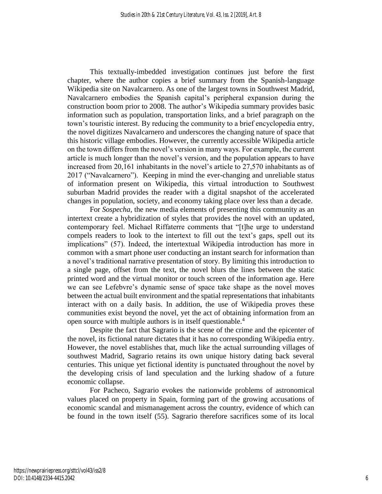This textually-imbedded investigation continues just before the first chapter, where the author copies a brief summary from the Spanish-language Wikipedia site on Navalcarnero. As one of the largest towns in Southwest Madrid, Navalcarnero embodies the Spanish capital's peripheral expansion during the construction boom prior to 2008. The author's Wikipedia summary provides basic information such as population, transportation links, and a brief paragraph on the town's touristic interest. By reducing the community to a brief encyclopedia entry, the novel digitizes Navalcarnero and underscores the changing nature of space that this historic village embodies. However, the currently accessible Wikipedia article on the town differs from the novel's version in many ways. For example, the current article is much longer than the novel's version, and the population appears to have increased from 20,161 inhabitants in the novel's article to 27,570 inhabitants as of 2017 ("Navalcarnero"). Keeping in mind the ever-changing and unreliable status of information present on Wikipedia, this virtual introduction to Southwest suburban Madrid provides the reader with a digital snapshot of the accelerated changes in population, society, and economy taking place over less than a decade.

For *Sospecha*, the new media elements of presenting this community as an intertext create a hybridization of styles that provides the novel with an updated, contemporary feel. Michael Riffaterre comments that "[t]he urge to understand compels readers to look to the intertext to fill out the text's gaps, spell out its implications" (57). Indeed, the intertextual Wikipedia introduction has more in common with a smart phone user conducting an instant search for information than a novel's traditional narrative presentation of story. By limiting this introduction to a single page, offset from the text, the novel blurs the lines between the static printed word and the virtual monitor or touch screen of the information age. Here we can see Lefebvre's dynamic sense of space take shape as the novel moves between the actual built environment and the spatial representations that inhabitants interact with on a daily basis. In addition, the use of Wikipedia proves these communities exist beyond the novel, yet the act of obtaining information from an open source with multiple authors is in itself questionable.<sup>4</sup>

Despite the fact that Sagrario is the scene of the crime and the epicenter of the novel, its fictional nature dictates that it has no corresponding Wikipedia entry. However, the novel establishes that, much like the actual surrounding villages of southwest Madrid, Sagrario retains its own unique history dating back several centuries. This unique yet fictional identity is punctuated throughout the novel by the developing crisis of land speculation and the lurking shadow of a future economic collapse.

For Pacheco, Sagrario evokes the nationwide problems of astronomical values placed on property in Spain, forming part of the growing accusations of economic scandal and mismanagement across the country, evidence of which can be found in the town itself (55). Sagrario therefore sacrifices some of its local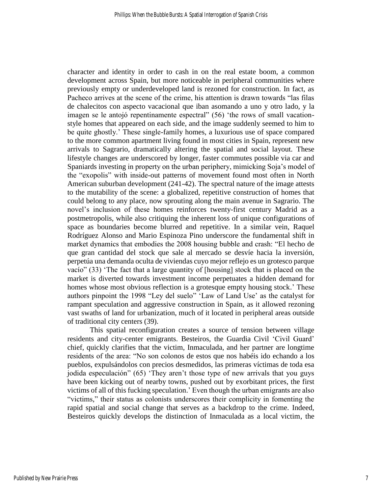character and identity in order to cash in on the real estate boom, a common development across Spain, but more noticeable in peripheral communities where previously empty or underdeveloped land is rezoned for construction. In fact, as Pacheco arrives at the scene of the crime, his attention is drawn towards "las filas de chalecitos con aspecto vacacional que iban asomando a uno y otro lado, y la imagen se le antojó repentinamente espectral" (56) 'the rows of small vacationstyle homes that appeared on each side, and the image suddenly seemed to him to be quite ghostly.' These single-family homes, a luxurious use of space compared to the more common apartment living found in most cities in Spain, represent new arrivals to Sagrario, dramatically altering the spatial and social layout. These lifestyle changes are underscored by longer, faster commutes possible via car and Spaniards investing in property on the urban periphery, mimicking Soja's model of the "exopolis" with inside-out patterns of movement found most often in North American suburban development (241-42). The spectral nature of the image attests to the mutability of the scene: a globalized, repetitive construction of homes that could belong to any place, now sprouting along the main avenue in Sagrario. The novel's inclusion of these homes reinforces twenty-first century Madrid as a postmetropolis, while also critiquing the inherent loss of unique configurations of space as boundaries become blurred and repetitive. In a similar vein, Raquel Rodríguez Alonso and Mario Espinoza Pino underscore the fundamental shift in market dynamics that embodies the 2008 housing bubble and crash: "El hecho de que gran cantidad del stock que sale al mercado se desvíe hacia la inversión, perpetúa una demanda oculta de viviendas cuyo mejor reflejo es un grotesco parque vacío" (33) 'The fact that a large quantity of [housing] stock that is placed on the market is diverted towards investment income perpetuates a hidden demand for homes whose most obvious reflection is a grotesque empty housing stock.' These authors pinpoint the 1998 "Ley del suelo" 'Law of Land Use' as the catalyst for rampant speculation and aggressive construction in Spain, as it allowed rezoning vast swaths of land for urbanization, much of it located in peripheral areas outside of traditional city centers (39).

This spatial reconfiguration creates a source of tension between village residents and city-center emigrants. Besteiros, the Guardia Civil 'Civil Guard' chief, quickly clarifies that the victim, Inmaculada, and her partner are longtime residents of the area: "No son colonos de estos que nos habéis ido echando a los pueblos, expulsándolos con precios desmedidos, las primeras víctimas de toda esa jodida especulación" (65) 'They aren't those type of new arrivals that you guys have been kicking out of nearby towns, pushed out by exorbitant prices, the first victims of all of this fucking speculation.' Even though the urban emigrants are also "victims," their status as colonists underscores their complicity in fomenting the rapid spatial and social change that serves as a backdrop to the crime. Indeed, Besteiros quickly develops the distinction of Inmaculada as a local victim, the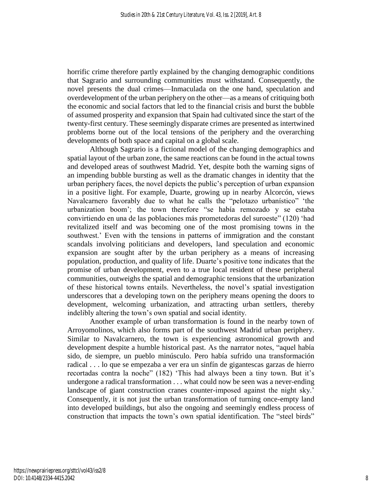horrific crime therefore partly explained by the changing demographic conditions that Sagrario and surrounding communities must withstand. Consequently, the novel presents the dual crimes—Inmaculada on the one hand, speculation and overdevelopment of the urban periphery on the other—as a means of critiquing both the economic and social factors that led to the financial crisis and burst the bubble of assumed prosperity and expansion that Spain had cultivated since the start of the twenty-first century. These seemingly disparate crimes are presented as intertwined problems borne out of the local tensions of the periphery and the overarching developments of both space and capital on a global scale.

Although Sagrario is a fictional model of the changing demographics and spatial layout of the urban zone, the same reactions can be found in the actual towns and developed areas of southwest Madrid. Yet, despite both the warning signs of an impending bubble bursting as well as the dramatic changes in identity that the urban periphery faces, the novel depicts the public's perception of urban expansion in a positive light. For example, Duarte, growing up in nearby Alcorcón, views Navalcarnero favorably due to what he calls the "pelotazo urbanístico" 'the urbanization boom'; the town therefore "se había remozado y se estaba convirtiendo en una de las poblaciones más prometedoras del suroeste" (120) 'had revitalized itself and was becoming one of the most promising towns in the southwest.' Even with the tensions in patterns of immigration and the constant scandals involving politicians and developers, land speculation and economic expansion are sought after by the urban periphery as a means of increasing population, production, and quality of life. Duarte's positive tone indicates that the promise of urban development, even to a true local resident of these peripheral communities, outweighs the spatial and demographic tensions that the urbanization of these historical towns entails. Nevertheless, the novel's spatial investigation underscores that a developing town on the periphery means opening the doors to development, welcoming urbanization, and attracting urban settlers, thereby indelibly altering the town's own spatial and social identity.

Another example of urban transformation is found in the nearby town of Arroyomolinos, which also forms part of the southwest Madrid urban periphery. Similar to Navalcarnero, the town is experiencing astronomical growth and development despite a humble historical past. As the narrator notes, "aquel había sido, de siempre, un pueblo minúsculo. Pero había sufrido una transformación radical . . . lo que se empezaba a ver era un sinfín de gigantescas garzas de hierro recortadas contra la noche" (182) 'This had always been a tiny town. But it's undergone a radical transformation . . . what could now be seen was a never-ending landscape of giant construction cranes counter-imposed against the night sky.' Consequently, it is not just the urban transformation of turning once-empty land into developed buildings, but also the ongoing and seemingly endless process of construction that impacts the town's own spatial identification. The "steel birds"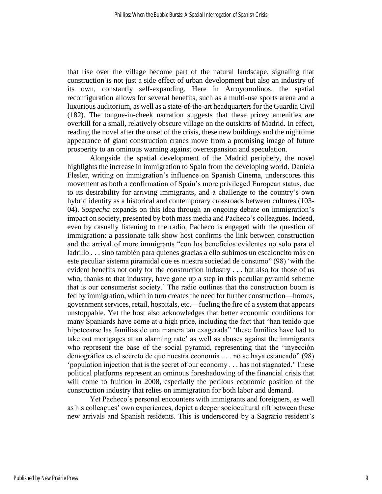that rise over the village become part of the natural landscape, signaling that construction is not just a side effect of urban development but also an industry of its own, constantly self-expanding. Here in Arroyomolinos, the spatial reconfiguration allows for several benefits, such as a multi-use sports arena and a luxurious auditorium, as well as a state-of-the-art headquarters for the Guardia Civil (182). The tongue-in-cheek narration suggests that these pricey amenities are overkill for a small, relatively obscure village on the outskirts of Madrid. In effect, reading the novel after the onset of the crisis, these new buildings and the nighttime appearance of giant construction cranes move from a promising image of future prosperity to an ominous warning against overexpansion and speculation.

Alongside the spatial development of the Madrid periphery, the novel highlights the increase in immigration to Spain from the developing world. Daniela Flesler, writing on immigration's influence on Spanish Cinema, underscores this movement as both a confirmation of Spain's more privileged European status, due to its desirability for arriving immigrants, and a challenge to the country's own hybrid identity as a historical and contemporary crossroads between cultures (103- 04). *Sospecha* expands on this idea through an ongoing debate on immigration's impact on society, presented by both mass media and Pacheco's colleagues. Indeed, even by casually listening to the radio, Pacheco is engaged with the question of immigration: a passionate talk show host confirms the link between construction and the arrival of more immigrants "con los beneficios evidentes no solo para el ladrillo . . . sino también para quienes gracias a ello subimos un escaloncito más en este peculiar sistema piramidal que es nuestra sociedad de consumo" (98) 'with the evident benefits not only for the construction industry . . . but also for those of us who, thanks to that industry, have gone up a step in this peculiar pyramid scheme that is our consumerist society.' The radio outlines that the construction boom is fed by immigration, which in turn creates the need for further construction—homes, government services, retail, hospitals, etc.—fueling the fire of a system that appears unstoppable. Yet the host also acknowledges that better economic conditions for many Spaniards have come at a high price, including the fact that "han tenido que hipotecarse las familias de una manera tan exagerada" 'these families have had to take out mortgages at an alarming rate' as well as abuses against the immigrants who represent the base of the social pyramid, representing that the "inyección demográfica es el secreto de que nuestra economía . . . no se haya estancado" (98) 'population injection that is the secret of our economy . . . has not stagnated.' These political platforms represent an ominous foreshadowing of the financial crisis that will come to fruition in 2008, especially the perilous economic position of the construction industry that relies on immigration for both labor and demand.

Yet Pacheco's personal encounters with immigrants and foreigners, as well as his colleagues' own experiences, depict a deeper sociocultural rift between these new arrivals and Spanish residents. This is underscored by a Sagrario resident's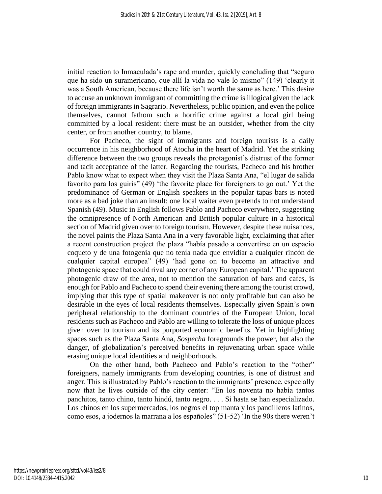initial reaction to Inmaculada's rape and murder, quickly concluding that "seguro que ha sido un suramericano, que allí la vida no vale lo mismo" (149) 'clearly it was a South American, because there life isn't worth the same as here.' This desire to accuse an unknown immigrant of committing the crime is illogical given the lack of foreign immigrants in Sagrario. Nevertheless, public opinion, and even the police themselves, cannot fathom such a horrific crime against a local girl being committed by a local resident: there must be an outsider, whether from the city center, or from another country, to blame.

For Pacheco, the sight of immigrants and foreign tourists is a daily occurrence in his neighborhood of Atocha in the heart of Madrid. Yet the striking difference between the two groups reveals the protagonist's distrust of the former and tacit acceptance of the latter. Regarding the tourists, Pacheco and his brother Pablo know what to expect when they visit the Plaza Santa Ana, "el lugar de salida favorito para los guiris" (49) 'the favorite place for foreigners to go out.' Yet the predominance of German or English speakers in the popular tapas bars is noted more as a bad joke than an insult: one local waiter even pretends to not understand Spanish (49). Music in English follows Pablo and Pacheco everywhere, suggesting the omnipresence of North American and British popular culture in a historical section of Madrid given over to foreign tourism. However, despite these nuisances, the novel paints the Plaza Santa Ana in a very favorable light, exclaiming that after a recent construction project the plaza "había pasado a convertirse en un espacio coqueto y de una fotogenia que no tenía nada que envidiar a cualquier rincón de cualquier capital europea" (49) 'had gone on to become an attractive and photogenic space that could rival any corner of any European capital.' The apparent photogenic draw of the area, not to mention the saturation of bars and cafes, is enough for Pablo and Pacheco to spend their evening there among the tourist crowd, implying that this type of spatial makeover is not only profitable but can also be desirable in the eyes of local residents themselves. Especially given Spain's own peripheral relationship to the dominant countries of the European Union, local residents such as Pacheco and Pablo are willing to tolerate the loss of unique places given over to tourism and its purported economic benefits. Yet in highlighting spaces such as the Plaza Santa Ana, *Sospecha* foregrounds the power, but also the danger, of globalization's perceived benefits in rejuvenating urban space while erasing unique local identities and neighborhoods.

On the other hand, both Pacheco and Pablo's reaction to the "other" foreigners, namely immigrants from developing countries, is one of distrust and anger. This is illustrated by Pablo's reaction to the immigrants' presence, especially now that he lives outside of the city center: "En los noventa no había tantos panchitos, tanto chino, tanto hindú, tanto negro. . . . Si hasta se han especializado. Los chinos en los supermercados, los negros el top manta y los pandilleros latinos, como esos, a jodernos la marrana a los españoles" (51-52) 'In the 90s there weren't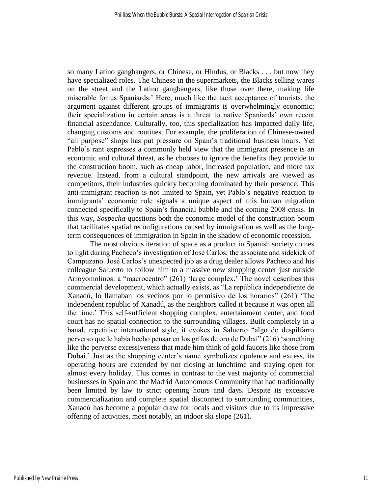so many Latino gangbangers, or Chinese, or Hindus, or Blacks . . . but now they have specialized roles. The Chinese in the supermarkets, the Blacks selling wares on the street and the Latino gangbangers, like those over there, making life miserable for us Spaniards.' Here, much like the tacit acceptance of tourists, the argument against different groups of immigrants is overwhelmingly economic; their specialization in certain areas is a threat to native Spaniards' own recent financial ascendance. Culturally, too, this specialization has impacted daily life, changing customs and routines. For example, the proliferation of Chinese-owned "all purpose" shops has put pressure on Spain's traditional business hours. Yet Pablo's rant expresses a commonly held view that the immigrant presence is an economic and cultural threat, as he chooses to ignore the benefits they provide to the construction boom, such as cheap labor, increased population, and more tax revenue. Instead, from a cultural standpoint, the new arrivals are viewed as competitors, their industries quickly becoming dominated by their presence. This anti-immigrant reaction is not limited to Spain, yet Pablo's negative reaction to immigrants' economic role signals a unique aspect of this human migration connected specifically to Spain's financial bubble and the coming 2008 crisis. In this way, *Sospecha* questions both the economic model of the construction boom that facilitates spatial reconfigurations caused by immigration as well as the longterm consequences of immigration in Spain in the shadow of economic recession.

The most obvious iteration of space as a product in Spanish society comes to light during Pacheco's investigation of José Carlos, the associate and sidekick of Campuzano. José Carlos's unexpected job as a drug dealer allows Pacheco and his colleague Saluerto to follow him to a massive new shopping center just outside Arroyomolinos: a "macrocentro" (261) 'large complex.' The novel describes this commercial development, which actually exists, as "La república independiente de Xanadú, lo llamaban los vecinos por lo permisivo de los horarios" (261) 'The independent republic of Xanadú, as the neighbors called it because it was open all the time.' This self-sufficient shopping complex, entertainment center, and food court has no spatial connection to the surrounding villages. Built completely in a banal, repetitive international style, it evokes in Saluerto "algo de despilfarro perverso que le había hecho pensar en los grifos de oro de Dubai" (216) 'something like the perverse excessiveness that made him think of gold faucets like those from Dubai.' Just as the shopping center's name symbolizes opulence and excess, its operating hours are extended by not closing at lunchtime and staying open for almost every holiday. This comes in contrast to the vast majority of commercial businesses in Spain and the Madrid Autonomous Community that had traditionally been limited by law to strict opening hours and days. Despite its excessive commercialization and complete spatial disconnect to surrounding communities, Xanadú has become a popular draw for locals and visitors due to its impressive offering of activities, most notably, an indoor ski slope (261).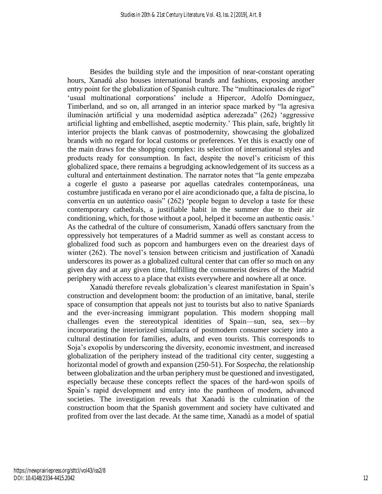Besides the building style and the imposition of near-constant operating hours, Xanadú also houses international brands and fashions, exposing another entry point for the globalization of Spanish culture. The "multinacionales de rigor" 'usual multinational corporations' include a Hipercor, Adolfo Domínguez, Timberland, and so on, all arranged in an interior space marked by "la agresiva iluminación artificial y una modernidad aséptica aderezada" (262) 'aggressive artificial lighting and embellished, aseptic modernity.' This plain, safe, brightly lit interior projects the blank canvas of postmodernity, showcasing the globalized brands with no regard for local customs or preferences. Yet this is exactly one of the main draws for the shopping complex: its selection of international styles and products ready for consumption. In fact, despite the novel's criticism of this globalized space, there remains a begrudging acknowledgement of its success as a cultural and entertainment destination. The narrator notes that "la gente empezaba a cogerle el gusto a pasearse por aquellas catedrales contemporáneas, una costumbre justificada en verano por el aire acondicionado que, a falta de piscina, lo convertía en un auténtico oasis" (262) 'people began to develop a taste for these contemporary cathedrals, a justifiable habit in the summer due to their air conditioning, which, for those without a pool, helped it become an authentic oasis.' As the cathedral of the culture of consumerism, Xanadú offers sanctuary from the oppressively hot temperatures of a Madrid summer as well as constant access to globalized food such as popcorn and hamburgers even on the dreariest days of winter (262). The novel's tension between criticism and justification of Xanadú underscores its power as a globalized cultural center that can offer so much on any given day and at any given time, fulfilling the consumerist desires of the Madrid periphery with access to a place that exists everywhere and nowhere all at once.

Xanadú therefore reveals globalization's clearest manifestation in Spain's construction and development boom: the production of an imitative, banal, sterile space of consumption that appeals not just to tourists but also to native Spaniards and the ever-increasing immigrant population. This modern shopping mall challenges even the stereotypical identities of Spain—sun, sea, sex—by incorporating the interiorized simulacra of postmodern consumer society into a cultural destination for families, adults, and even tourists. This corresponds to Soja's exopolis by underscoring the diversity, economic investment, and increased globalization of the periphery instead of the traditional city center, suggesting a horizontal model of growth and expansion (250-51). For *Sospecha*, the relationship between globalization and the urban periphery must be questioned and investigated, especially because these concepts reflect the spaces of the hard-won spoils of Spain's rapid development and entry into the pantheon of modern, advanced societies. The investigation reveals that Xanadú is the culmination of the construction boom that the Spanish government and society have cultivated and profited from over the last decade. At the same time, Xanadú as a model of spatial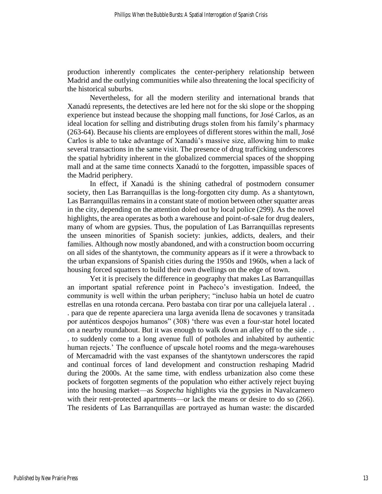production inherently complicates the center-periphery relationship between Madrid and the outlying communities while also threatening the local specificity of the historical suburbs.

Nevertheless, for all the modern sterility and international brands that Xanadú represents, the detectives are led here not for the ski slope or the shopping experience but instead because the shopping mall functions, for José Carlos, as an ideal location for selling and distributing drugs stolen from his family's pharmacy (263-64). Because his clients are employees of different stores within the mall, José Carlos is able to take advantage of Xanadú's massive size, allowing him to make several transactions in the same visit. The presence of drug trafficking underscores the spatial hybridity inherent in the globalized commercial spaces of the shopping mall and at the same time connects Xanadú to the forgotten, impassible spaces of the Madrid periphery.

In effect, if Xanadú is the shining cathedral of postmodern consumer society, then Las Barranquillas is the long-forgotten city dump. As a shantytown, Las Barranquillas remains in a constant state of motion between other squatter areas in the city, depending on the attention doled out by local police (299). As the novel highlights, the area operates as both a warehouse and point-of-sale for drug dealers, many of whom are gypsies. Thus, the population of Las Barranquillas represents the unseen minorities of Spanish society: junkies, addicts, dealers, and their families. Although now mostly abandoned, and with a construction boom occurring on all sides of the shantytown, the community appears as if it were a throwback to the urban expansions of Spanish cities during the 1950s and 1960s, when a lack of housing forced squatters to build their own dwellings on the edge of town.

Yet it is precisely the difference in geography that makes Las Barranquillas an important spatial reference point in Pacheco's investigation. Indeed, the community is well within the urban periphery; "incluso había un hotel de cuatro estrellas en una rotonda cercana. Pero bastaba con tirar por una callejuela lateral . . . para que de repente apareciera una larga avenida llena de socavones y transitada por auténticos despojos humanos" (308) 'there was even a four-star hotel located on a nearby roundabout. But it was enough to walk down an alley off to the side . . . to suddenly come to a long avenue full of potholes and inhabited by authentic human rejects.' The confluence of upscale hotel rooms and the mega-warehouses of Mercamadrid with the vast expanses of the shantytown underscores the rapid and continual forces of land development and construction reshaping Madrid during the 2000s. At the same time, with endless urbanization also come these pockets of forgotten segments of the population who either actively reject buying into the housing market—as *Sospecha* highlights via the gypsies in Navalcarnero with their rent-protected apartments—or lack the means or desire to do so  $(266)$ . The residents of Las Barranquillas are portrayed as human waste: the discarded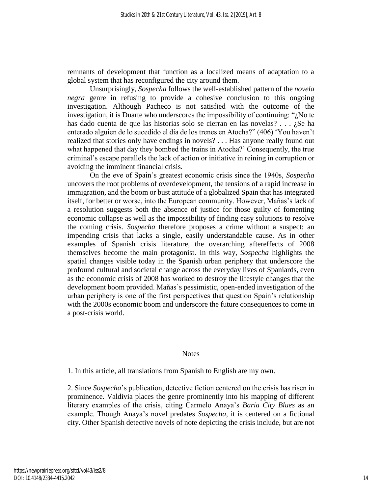remnants of development that function as a localized means of adaptation to a global system that has reconfigured the city around them.

Unsurprisingly, *Sospecha* follows the well-established pattern of the *novela negra* genre in refusing to provide a cohesive conclusion to this ongoing investigation. Although Pacheco is not satisfied with the outcome of the investigation, it is Duarte who underscores the impossibility of continuing: " $i$ No te has dado cuenta de que las historias solo se cierran en las novelas? . . . ¿Se ha enterado alguien de lo sucedido el día de los trenes en Atocha?" (406) 'You haven't realized that stories only have endings in novels? . . . Has anyone really found out what happened that day they bombed the trains in Atocha?' Consequently, the true criminal's escape parallels the lack of action or initiative in reining in corruption or avoiding the imminent financial crisis.

On the eve of Spain's greatest economic crisis since the 1940s, *Sospecha* uncovers the root problems of overdevelopment, the tensions of a rapid increase in immigration, and the boom or bust attitude of a globalized Spain that has integrated itself, for better or worse, into the European community. However, Mañas's lack of a resolution suggests both the absence of justice for those guilty of fomenting economic collapse as well as the impossibility of finding easy solutions to resolve the coming crisis. *Sospecha* therefore proposes a crime without a suspect: an impending crisis that lacks a single, easily understandable cause. As in other examples of Spanish crisis literature, the overarching aftereffects of 2008 themselves become the main protagonist. In this way, *Sospecha* highlights the spatial changes visible today in the Spanish urban periphery that underscore the profound cultural and societal change across the everyday lives of Spaniards, even as the economic crisis of 2008 has worked to destroy the lifestyle changes that the development boom provided. Mañas's pessimistic, open-ended investigation of the urban periphery is one of the first perspectives that question Spain's relationship with the 2000s economic boom and underscore the future consequences to come in a post-crisis world.

#### **Notes**

1. In this article, all translations from Spanish to English are my own.

2. Since *Sospecha*'s publication, detective fiction centered on the crisis has risen in prominence. Valdivia places the genre prominently into his mapping of different literary examples of the crisis, citing Carmelo Anaya's *Baria City Blues* as an example. Though Anaya's novel predates *Sospecha,* it is centered on a fictional city. Other Spanish detective novels of note depicting the crisis include, but are not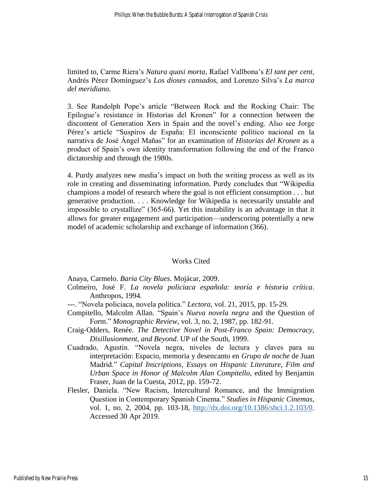limited to, Carme Riera's *Natura quasi morta*, Rafael Vallbona's *El tant per cent*, Andrés Pérez Domínguez's *Los dioses cansados*, and Lorenzo Silva's *La marca del meridiano.*

3. See Randolph Pope's article "Between Rock and the Rocking Chair: The Epilogue's resistance in Historias del Kronen" for a connection between the discontent of Generation Xers in Spain and the novel's ending. Also see Jorge Pérez's article "Suspiros de España: El inconsciente político nacional en la narrativa de José Ángel Mañas" for an examination of *Historias del Kronen* as a product of Spain's own identity transformation following the end of the Franco dictatorship and through the 1980s.

4. Purdy analyzes new media's impact on both the writing process as well as its role in creating and disseminating information. Purdy concludes that "Wikipedia champions a model of research where the goal is not efficient consumption . . . but generative production. . . . Knowledge for Wikipedia is necessarily unstable and impossible to crystallize" (365-66). Yet this instability is an advantage in that it allows for greater engagement and participation—underscoring potentially a new model of academic scholarship and exchange of information (366).

#### Works Cited

Anaya, Carmelo. *Baria City Blues*. Mojácar, 2009.

- Colmeiro, José F. *La novela policiaca española: teoría e historia crítica*. Anthropos, 1994.
- ---. "Novela policiaca, novela política." *Lectora*, vol. 21, 2015, pp. 15-29.
- Compitello, Malcolm Allan. "Spain's *Nueva novela negra* and the Question of Form." *Monographic Review*, vol. 3, no. 2, 1987, pp. 182-91.
- Craig-Odders, Renée. *The Detective Novel in Post-Franco Spain: Democracy, Disillusionment, and Beyond*. UP of the South, 1999.
- Cuadrado, Agustín. "Novela negra, niveles de lectura y claves para su interpretación: Espacio, memoria y desencanto en *Grupo de noche* de Juan Madrid." *Capital Inscriptions, Essays on Hispanic Literature, Film and Urban Space in Honor of Malcolm Alan Compitello*, edited by Benjamin Fraser, Juan de la Cuesta, 2012, pp. 159-72.
- Flesler, Daniela. "New Racism, Intercultural Romance, and the Immigration Question in Contemporary Spanish Cinema." *Studies in Hispanic Cinemas*, vol. 1, no. 2, 2004, pp. 103-18, [http://dx.doi.org/10.1386/shci.1.2.103/0.](http://dx.doi.org/10.1386/shci.1.2.103/0) Accessed 30 Apr 2019.